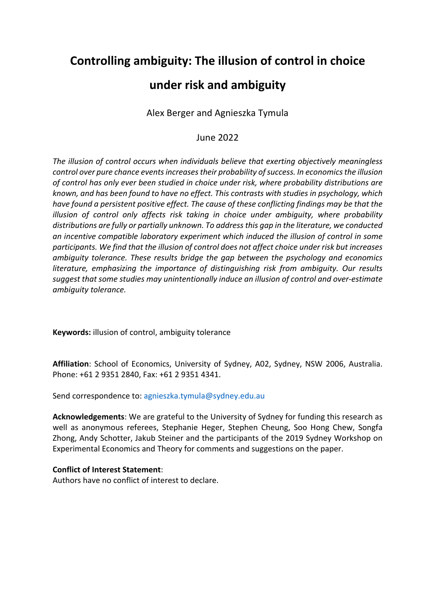# **Controlling ambiguity: The illusion of control in choice**

# **under risk and ambiguity**

Alex Berger and Agnieszka Tymula

June 2022

*The illusion of control occurs when individuals believe that exerting objectively meaningless control over pure chance events increases their probability of success. In economics the illusion of control has only ever been studied in choice under risk, where probability distributions are known, and has been found to have no effect. This contrasts with studies in psychology, which have found a persistent positive effect. The cause of these conflicting findings may be that the illusion of control only affects risk taking in choice under ambiguity, where probability distributions are fully or partially unknown. To address this gap in the literature, we conducted an incentive compatible laboratory experiment which induced the illusion of control in some participants. We find that the illusion of control does not affect choice under risk but increases ambiguity tolerance. These results bridge the gap between the psychology and economics literature, emphasizing the importance of distinguishing risk from ambiguity. Our results suggest that some studies may unintentionally induce an illusion of control and over-estimate ambiguity tolerance.* 

**Keywords:** illusion of control, ambiguity tolerance

**Affiliation**: School of Economics, University of Sydney, A02, Sydney, NSW 2006, Australia. Phone: +61 2 9351 2840, Fax: +61 2 9351 4341.

Send correspondence to: agnieszka.tymula@sydney.edu.au

**Acknowledgements**: We are grateful to the University of Sydney for funding this research as well as anonymous referees, Stephanie Heger, Stephen Cheung, Soo Hong Chew, Songfa Zhong, Andy Schotter, Jakub Steiner and the participants of the 2019 Sydney Workshop on Experimental Economics and Theory for comments and suggestions on the paper.

### **Conflict of Interest Statement**:

Authors have no conflict of interest to declare.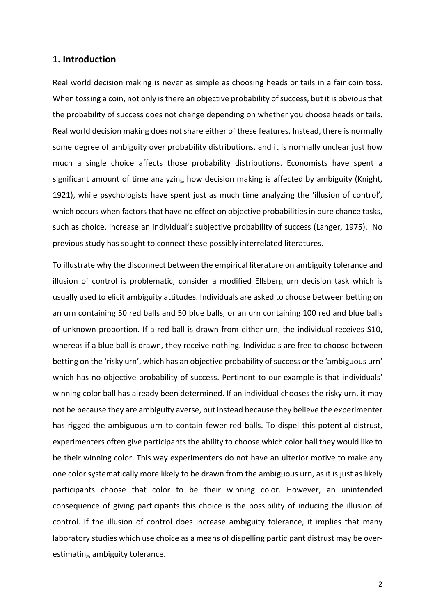### **1. Introduction**

Real world decision making is never as simple as choosing heads or tails in a fair coin toss. When tossing a coin, not only is there an objective probability of success, but it is obvious that the probability of success does not change depending on whether you choose heads or tails. Real world decision making does not share either of these features. Instead, there is normally some degree of ambiguity over probability distributions, and it is normally unclear just how much a single choice affects those probability distributions. Economists have spent a significant amount of time analyzing how decision making is affected by ambiguity (Knight, 1921), while psychologists have spent just as much time analyzing the 'illusion of control', which occurs when factors that have no effect on objective probabilities in pure chance tasks, such as choice, increase an individual's subjective probability of success (Langer, 1975). No previous study has sought to connect these possibly interrelated literatures.

To illustrate why the disconnect between the empirical literature on ambiguity tolerance and illusion of control is problematic, consider a modified Ellsberg urn decision task which is usually used to elicit ambiguity attitudes. Individuals are asked to choose between betting on an urn containing 50 red balls and 50 blue balls, or an urn containing 100 red and blue balls of unknown proportion. If a red ball is drawn from either urn, the individual receives \$10, whereas if a blue ball is drawn, they receive nothing. Individuals are free to choose between betting on the 'risky urn', which has an objective probability of success or the 'ambiguous urn' which has no objective probability of success. Pertinent to our example is that individuals' winning color ball has already been determined. If an individual chooses the risky urn, it may not be because they are ambiguity averse, but instead because they believe the experimenter has rigged the ambiguous urn to contain fewer red balls. To dispel this potential distrust, experimenters often give participants the ability to choose which color ball they would like to be their winning color. This way experimenters do not have an ulterior motive to make any one color systematically more likely to be drawn from the ambiguous urn, as it is just as likely participants choose that color to be their winning color. However, an unintended consequence of giving participants this choice is the possibility of inducing the illusion of control. If the illusion of control does increase ambiguity tolerance, it implies that many laboratory studies which use choice as a means of dispelling participant distrust may be overestimating ambiguity tolerance.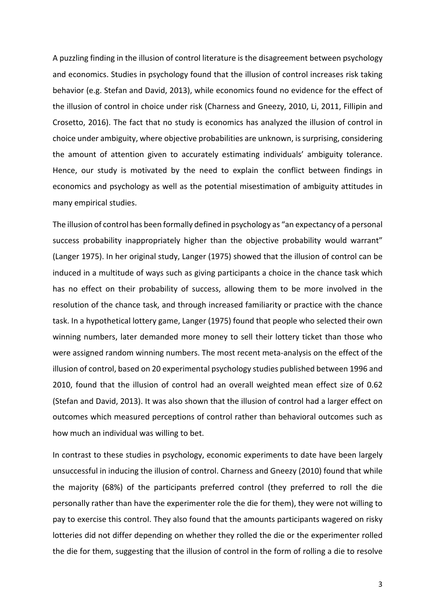A puzzling finding in the illusion of control literature is the disagreement between psychology and economics. Studies in psychology found that the illusion of control increases risk taking behavior (e.g. Stefan and David, 2013), while economics found no evidence for the effect of the illusion of control in choice under risk (Charness and Gneezy, 2010, Li, 2011, Fillipin and Crosetto, 2016). The fact that no study is economics has analyzed the illusion of control in choice under ambiguity, where objective probabilities are unknown, is surprising, considering the amount of attention given to accurately estimating individuals' ambiguity tolerance. Hence, our study is motivated by the need to explain the conflict between findings in economics and psychology as well as the potential misestimation of ambiguity attitudes in many empirical studies.

The illusion of control has been formally defined in psychology as "an expectancy of a personal success probability inappropriately higher than the objective probability would warrant" (Langer 1975). In her original study, Langer (1975) showed that the illusion of control can be induced in a multitude of ways such as giving participants a choice in the chance task which has no effect on their probability of success, allowing them to be more involved in the resolution of the chance task, and through increased familiarity or practice with the chance task. In a hypothetical lottery game, Langer (1975) found that people who selected their own winning numbers, later demanded more money to sell their lottery ticket than those who were assigned random winning numbers. The most recent meta-analysis on the effect of the illusion of control, based on 20 experimental psychology studies published between 1996 and 2010, found that the illusion of control had an overall weighted mean effect size of 0.62 (Stefan and David, 2013). It was also shown that the illusion of control had a larger effect on outcomes which measured perceptions of control rather than behavioral outcomes such as how much an individual was willing to bet.

In contrast to these studies in psychology, economic experiments to date have been largely unsuccessful in inducing the illusion of control. Charness and Gneezy (2010) found that while the majority (68%) of the participants preferred control (they preferred to roll the die personally rather than have the experimenter role the die for them), they were not willing to pay to exercise this control. They also found that the amounts participants wagered on risky lotteries did not differ depending on whether they rolled the die or the experimenter rolled the die for them, suggesting that the illusion of control in the form of rolling a die to resolve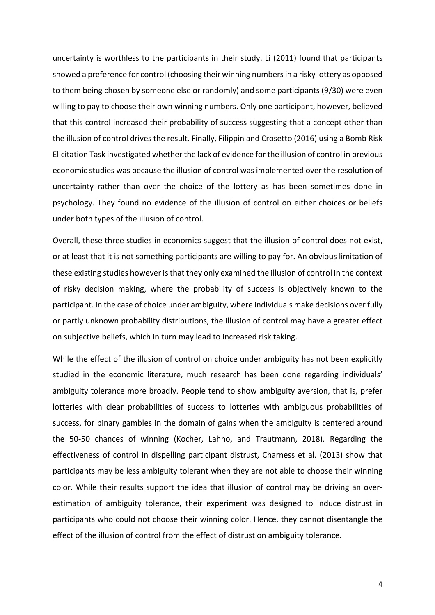uncertainty is worthless to the participants in their study. Li (2011) found that participants showed a preference for control (choosing their winning numbers in a risky lottery as opposed to them being chosen by someone else or randomly) and some participants (9/30) were even willing to pay to choose their own winning numbers. Only one participant, however, believed that this control increased their probability of success suggesting that a concept other than the illusion of control drives the result. Finally, Filippin and Crosetto (2016) using a Bomb Risk Elicitation Task investigated whether the lack of evidence for the illusion of control in previous economic studies was because the illusion of control was implemented over the resolution of uncertainty rather than over the choice of the lottery as has been sometimes done in psychology. They found no evidence of the illusion of control on either choices or beliefs under both types of the illusion of control.

Overall, these three studies in economics suggest that the illusion of control does not exist, or at least that it is not something participants are willing to pay for. An obvious limitation of these existing studies however is that they only examined the illusion of control in the context of risky decision making, where the probability of success is objectively known to the participant. In the case of choice under ambiguity, where individuals make decisions over fully or partly unknown probability distributions, the illusion of control may have a greater effect on subjective beliefs, which in turn may lead to increased risk taking.

While the effect of the illusion of control on choice under ambiguity has not been explicitly studied in the economic literature, much research has been done regarding individuals' ambiguity tolerance more broadly. People tend to show ambiguity aversion, that is, prefer lotteries with clear probabilities of success to lotteries with ambiguous probabilities of success, for binary gambles in the domain of gains when the ambiguity is centered around the 50-50 chances of winning (Kocher, Lahno, and Trautmann, 2018). Regarding the effectiveness of control in dispelling participant distrust, Charness et al. (2013) show that participants may be less ambiguity tolerant when they are not able to choose their winning color. While their results support the idea that illusion of control may be driving an overestimation of ambiguity tolerance, their experiment was designed to induce distrust in participants who could not choose their winning color. Hence, they cannot disentangle the effect of the illusion of control from the effect of distrust on ambiguity tolerance.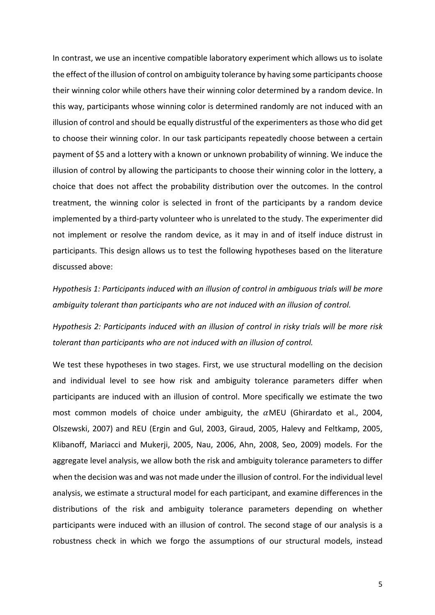In contrast, we use an incentive compatible laboratory experiment which allows us to isolate the effect of the illusion of control on ambiguity tolerance by having some participants choose their winning color while others have their winning color determined by a random device. In this way, participants whose winning color is determined randomly are not induced with an illusion of control and should be equally distrustful of the experimenters as those who did get to choose their winning color. In our task participants repeatedly choose between a certain payment of \$5 and a lottery with a known or unknown probability of winning. We induce the illusion of control by allowing the participants to choose their winning color in the lottery, a choice that does not affect the probability distribution over the outcomes. In the control treatment, the winning color is selected in front of the participants by a random device implemented by a third-party volunteer who is unrelated to the study. The experimenter did not implement or resolve the random device, as it may in and of itself induce distrust in participants. This design allows us to test the following hypotheses based on the literature discussed above:

*Hypothesis 1: Participants induced with an illusion of control in ambiguous trials will be more ambiguity tolerant than participants who are not induced with an illusion of control.* 

*Hypothesis 2: Participants induced with an illusion of control in risky trials will be more risk tolerant than participants who are not induced with an illusion of control.*

We test these hypotheses in two stages. First, we use structural modelling on the decision and individual level to see how risk and ambiguity tolerance parameters differ when participants are induced with an illusion of control. More specifically we estimate the two most common models of choice under ambiguity, the  $\alpha$ MEU (Ghirardato et al., 2004, Olszewski, 2007) and REU (Ergin and Gul, 2003, Giraud, 2005, Halevy and Feltkamp, 2005, Klibanoff, Mariacci and Mukerji, 2005, Nau, 2006, Ahn, 2008, Seo, 2009) models. For the aggregate level analysis, we allow both the risk and ambiguity tolerance parameters to differ when the decision was and was not made under the illusion of control. For the individual level analysis, we estimate a structural model for each participant, and examine differences in the distributions of the risk and ambiguity tolerance parameters depending on whether participants were induced with an illusion of control. The second stage of our analysis is a robustness check in which we forgo the assumptions of our structural models, instead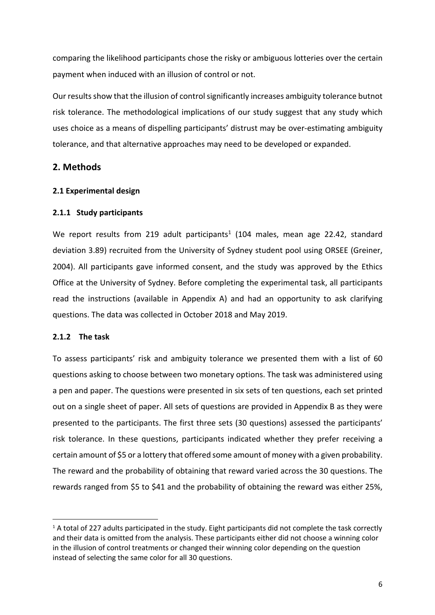comparing the likelihood participants chose the risky or ambiguous lotteries over the certain payment when induced with an illusion of control or not.

Our results show that the illusion of control significantly increases ambiguity tolerance butnot risk tolerance. The methodological implications of our study suggest that any study which uses choice as a means of dispelling participants' distrust may be over-estimating ambiguity tolerance, and that alternative approaches may need to be developed or expanded.

### **2. Methods**

### **2.1 Experimental design**

### **2.1.1 Study participants**

We report results from 219 adult participants<sup>1</sup> (104 males, mean age 22.42, standard deviation 3.89) recruited from the University of Sydney student pool using ORSEE (Greiner, 2004). All participants gave informed consent, and the study was approved by the Ethics Office at the University of Sydney. Before completing the experimental task, all participants read the instructions (available in Appendix A) and had an opportunity to ask clarifying questions. The data was collected in October 2018 and May 2019.

### **2.1.2 The task**

To assess participants' risk and ambiguity tolerance we presented them with a list of 60 questions asking to choose between two monetary options. The task was administered using a pen and paper. The questions were presented in six sets of ten questions, each set printed out on a single sheet of paper. All sets of questions are provided in Appendix B as they were presented to the participants. The first three sets (30 questions) assessed the participants' risk tolerance. In these questions, participants indicated whether they prefer receiving a certain amount of \$5 or a lottery that offered some amount of money with a given probability. The reward and the probability of obtaining that reward varied across the 30 questions. The rewards ranged from \$5 to \$41 and the probability of obtaining the reward was either 25%,

<sup>&</sup>lt;sup>1</sup> A total of 227 adults participated in the study. Eight participants did not complete the task correctly and their data is omitted from the analysis. These participants either did not choose a winning color in the illusion of control treatments or changed their winning color depending on the question instead of selecting the same color for all 30 questions.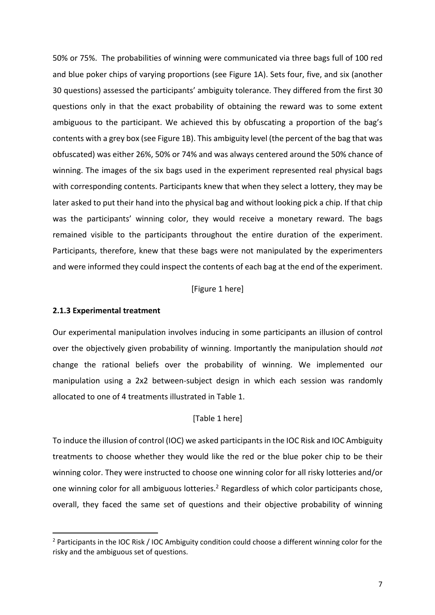50% or 75%. The probabilities of winning were communicated via three bags full of 100 red and blue poker chips of varying proportions (see Figure 1A). Sets four, five, and six (another 30 questions) assessed the participants' ambiguity tolerance. They differed from the first 30 questions only in that the exact probability of obtaining the reward was to some extent ambiguous to the participant. We achieved this by obfuscating a proportion of the bag's contents with a grey box (see Figure 1B). This ambiguity level (the percent of the bag that was obfuscated) was either 26%, 50% or 74% and was always centered around the 50% chance of winning. The images of the six bags used in the experiment represented real physical bags with corresponding contents. Participants knew that when they select a lottery, they may be later asked to put their hand into the physical bag and without looking pick a chip. If that chip was the participants' winning color, they would receive a monetary reward. The bags remained visible to the participants throughout the entire duration of the experiment. Participants, therefore, knew that these bags were not manipulated by the experimenters and were informed they could inspect the contents of each bag at the end of the experiment.

#### [Figure 1 here]

#### **2.1.3 Experimental treatment**

Our experimental manipulation involves inducing in some participants an illusion of control over the objectively given probability of winning. Importantly the manipulation should *not* change the rational beliefs over the probability of winning. We implemented our manipulation using a 2x2 between-subject design in which each session was randomly allocated to one of 4 treatments illustrated in Table 1.

#### [Table 1 here]

To induce the illusion of control (IOC) we asked participants in the IOC Risk and IOC Ambiguity treatments to choose whether they would like the red or the blue poker chip to be their winning color. They were instructed to choose one winning color for all risky lotteries and/or one winning color for all ambiguous lotteries.<sup>2</sup> Regardless of which color participants chose, overall, they faced the same set of questions and their objective probability of winning

<sup>2</sup> Participants in the IOC Risk / IOC Ambiguity condition could choose a different winning color for the risky and the ambiguous set of questions.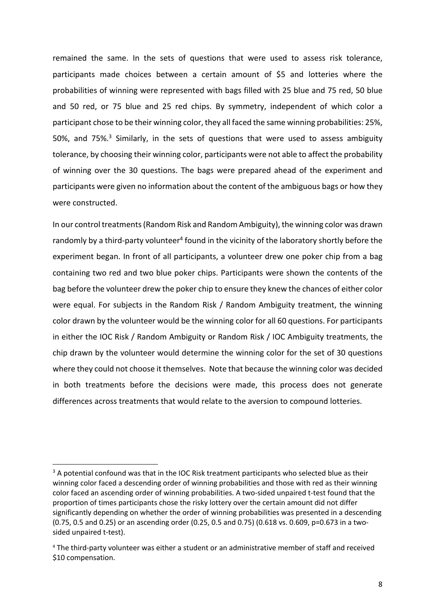remained the same. In the sets of questions that were used to assess risk tolerance, participants made choices between a certain amount of \$5 and lotteries where the probabilities of winning were represented with bags filled with 25 blue and 75 red, 50 blue and 50 red, or 75 blue and 25 red chips. By symmetry, independent of which color a participant chose to be their winning color, they all faced the same winning probabilities: 25%, 50%, and 75%.3 Similarly, in the sets of questions that were used to assess ambiguity tolerance, by choosing their winning color, participants were not able to affect the probability of winning over the 30 questions. The bags were prepared ahead of the experiment and participants were given no information about the content of the ambiguous bags or how they were constructed.

In our control treatments (Random Risk and Random Ambiguity), the winning color was drawn randomly by a third-party volunteer<sup>4</sup> found in the vicinity of the laboratory shortly before the experiment began. In front of all participants, a volunteer drew one poker chip from a bag containing two red and two blue poker chips. Participants were shown the contents of the bag before the volunteer drew the poker chip to ensure they knew the chances of either color were equal. For subjects in the Random Risk / Random Ambiguity treatment, the winning color drawn by the volunteer would be the winning color for all 60 questions. For participants in either the IOC Risk / Random Ambiguity or Random Risk / IOC Ambiguity treatments, the chip drawn by the volunteer would determine the winning color for the set of 30 questions where they could not choose it themselves. Note that because the winning color was decided in both treatments before the decisions were made, this process does not generate differences across treatments that would relate to the aversion to compound lotteries.

<sup>&</sup>lt;sup>3</sup> A potential confound was that in the IOC Risk treatment participants who selected blue as their winning color faced a descending order of winning probabilities and those with red as their winning color faced an ascending order of winning probabilities. A two-sided unpaired t-test found that the proportion of times participants chose the risky lottery over the certain amount did not differ significantly depending on whether the order of winning probabilities was presented in a descending (0.75, 0.5 and 0.25) or an ascending order (0.25, 0.5 and 0.75) (0.618 vs. 0.609, p=0.673 in a twosided unpaired t-test).

<sup>4</sup> The third-party volunteer was either a student or an administrative member of staff and received \$10 compensation.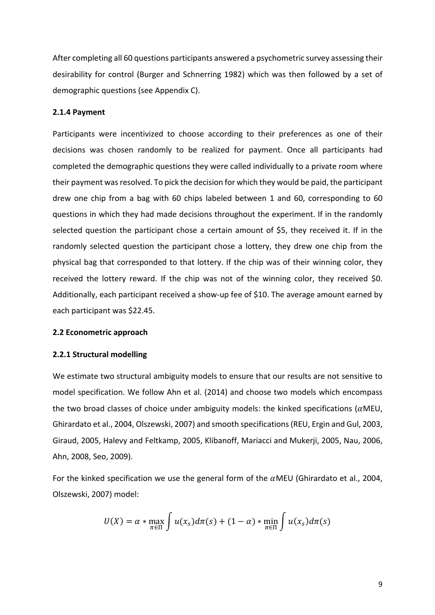After completing all 60 questions participants answered a psychometric survey assessing their desirability for control (Burger and Schnerring 1982) which was then followed by a set of demographic questions (see Appendix C).

#### **2.1.4 Payment**

Participants were incentivized to choose according to their preferences as one of their decisions was chosen randomly to be realized for payment. Once all participants had completed the demographic questions they were called individually to a private room where their payment was resolved. To pick the decision for which they would be paid, the participant drew one chip from a bag with 60 chips labeled between 1 and 60, corresponding to 60 questions in which they had made decisions throughout the experiment. If in the randomly selected question the participant chose a certain amount of \$5, they received it. If in the randomly selected question the participant chose a lottery, they drew one chip from the physical bag that corresponded to that lottery. If the chip was of their winning color, they received the lottery reward. If the chip was not of the winning color, they received \$0. Additionally, each participant received a show-up fee of \$10. The average amount earned by each participant was \$22.45.

#### **2.2 Econometric approach**

#### **2.2.1 Structural modelling**

We estimate two structural ambiguity models to ensure that our results are not sensitive to model specification. We follow Ahn et al. (2014) and choose two models which encompass the two broad classes of choice under ambiguity models: the kinked specifications ( $\alpha$ MEU, Ghirardato et al., 2004, Olszewski, 2007) and smooth specifications(REU, Ergin and Gul, 2003, Giraud, 2005, Halevy and Feltkamp, 2005, Klibanoff, Mariacci and Mukerji, 2005, Nau, 2006, Ahn, 2008, Seo, 2009).

For the kinked specification we use the general form of the  $\alpha$ MEU (Ghirardato et al., 2004, Olszewski, 2007) model:

$$
U(X) = \alpha * \max_{\pi \in \Pi} \int u(x_s) d\pi(s) + (1 - \alpha) * \min_{\pi \in \Pi} \int u(x_s) d\pi(s)
$$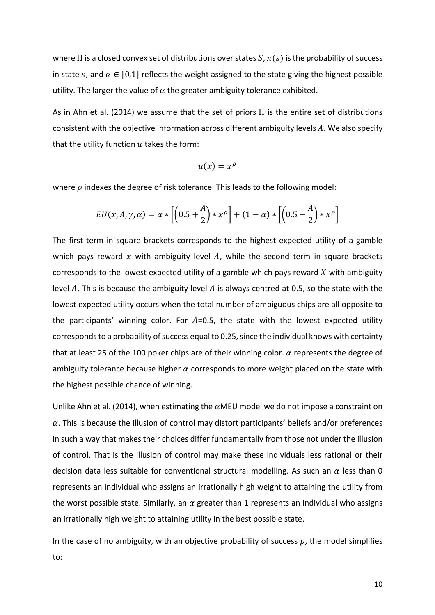where  $\Pi$  is a closed convex set of distributions over states  $S, \pi(s)$  is the probability of success in state s, and  $\alpha \in [0,1]$  reflects the weight assigned to the state giving the highest possible utility. The larger the value of  $\alpha$  the greater ambiguity tolerance exhibited.

As in Ahn et al. (2014) we assume that the set of priors  $\Pi$  is the entire set of distributions consistent with the objective information across different ambiguity levels  $A$ . We also specify that the utility function  $u$  takes the form:

$$
u(x)=x^{\rho}
$$

where  $\rho$  indexes the degree of risk tolerance. This leads to the following model:

$$
EU(x, A, \gamma, \alpha) = \alpha * \left[ \left( 0.5 + \frac{A}{2} \right) * x^{\rho} \right] + (1 - \alpha) * \left[ \left( 0.5 - \frac{A}{2} \right) * x^{\rho} \right]
$$

The first term in square brackets corresponds to the highest expected utility of a gamble which pays reward x with ambiguity level A, while the second term in square brackets corresponds to the lowest expected utility of a gamble which pays reward  $X$  with ambiguity level A. This is because the ambiguity level A is always centred at 0.5, so the state with the lowest expected utility occurs when the total number of ambiguous chips are all opposite to the participants' winning color. For  $A=0.5$ , the state with the lowest expected utility corresponds to a probability of success equal to 0.25, since the individual knows with certainty that at least 25 of the 100 poker chips are of their winning color.  $\alpha$  represents the degree of ambiguity tolerance because higher  $\alpha$  corresponds to more weight placed on the state with the highest possible chance of winning.

Unlike Ahn et al. (2014), when estimating the  $\alpha$ MEU model we do not impose a constraint on  $\alpha$ . This is because the illusion of control may distort participants' beliefs and/or preferences in such a way that makes their choices differ fundamentally from those not under the illusion of control. That is the illusion of control may make these individuals less rational or their decision data less suitable for conventional structural modelling. As such an  $\alpha$  less than 0 represents an individual who assigns an irrationally high weight to attaining the utility from the worst possible state. Similarly, an  $\alpha$  greater than 1 represents an individual who assigns an irrationally high weight to attaining utility in the best possible state.

In the case of no ambiguity, with an objective probability of success  $p$ , the model simplifies to: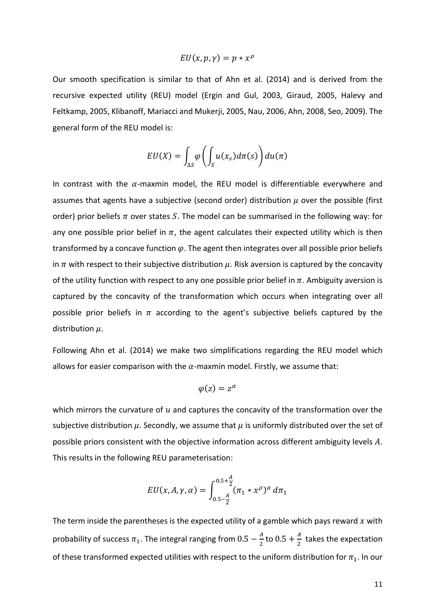$$
EU(x, p, \gamma) = p * x^{\rho}
$$

Our smooth specification is similar to that of Ahn et al. (2014) and is derived from the recursive expected utility (REU) model (Ergin and Gul, 2003, Giraud, 2005, Halevy and Feltkamp, 2005, Klibanoff, Mariacci and Mukerji, 2005, Nau, 2006, Ahn, 2008, Seo, 2009). The general form of the REU model is:

$$
EU(X) = \int_{\Delta S} \varphi \left( \int_S u(x_s) d\pi(s) \right) du(\pi)
$$

In contrast with the  $\alpha$ -maxmin model, the REU model is differentiable everywhere and assumes that agents have a subjective (second order) distribution  $\mu$  over the possible (first order) prior beliefs  $\pi$  over states S. The model can be summarised in the following way: for any one possible prior belief in  $\pi$ , the agent calculates their expected utility which is then transformed by a concave function  $\varphi$ . The agent then integrates over all possible prior beliefs in  $\pi$  with respect to their subjective distribution  $\mu$ . Risk aversion is captured by the concavity of the utility function with respect to any one possible prior belief in  $\pi$ . Ambiguity aversion is captured by the concavity of the transformation which occurs when integrating over all possible prior beliefs in  $\pi$  according to the agent's subjective beliefs captured by the distribution  $\mu$ .

Following Ahn et al. (2014) we make two simplifications regarding the REU model which allows for easier comparison with the  $\alpha$ -maxmin model. Firstly, we assume that:

$$
\varphi(z) = z^{\alpha}
$$

which mirrors the curvature of  $u$  and captures the concavity of the transformation over the subjective distribution  $\mu$ . Secondly, we assume that  $\mu$  is uniformly distributed over the set of possible priors consistent with the objective information across different ambiguity levels  $A$ . This results in the following REU parameterisation:

$$
EU(x, A, \gamma, \alpha) = \int_{0.5 - \frac{A}{2}}^{0.5 + \frac{A}{2}} (\pi_1 * x^{\rho})^{\alpha} d\pi_1
$$

The term inside the parentheses is the expected utility of a gamble which pays reward  $x$  with probability of success  $\pi_1$ . The integral ranging from  $0.5 - \frac{A}{2}$  to  $0.5 + \frac{A}{2}$  takes the expectation of these transformed expected utilities with respect to the uniform distribution for  $\pi_1$ . In our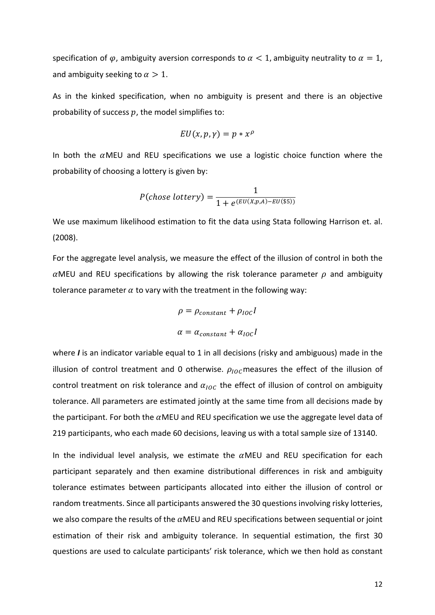specification of  $\varphi$ , ambiguity aversion corresponds to  $\alpha < 1$ , ambiguity neutrality to  $\alpha = 1$ , and ambiguity seeking to  $\alpha > 1$ .

As in the kinked specification, when no ambiguity is present and there is an objective probability of success  $p$ , the model simplifies to:

$$
EU(x, p, \gamma) = p * x^{\rho}
$$

In both the  $\alpha$ MEU and REU specifications we use a logistic choice function where the probability of choosing a lottery is given by:

$$
P(chose lottery) = \frac{1}{1 + e^{(EU(X,p,A) - EU(\$5))}}
$$

We use maximum likelihood estimation to fit the data using Stata following Harrison et. al. (2008).

For the aggregate level analysis, we measure the effect of the illusion of control in both the  $\alpha$ MEU and REU specifications by allowing the risk tolerance parameter  $\rho$  and ambiguity tolerance parameter  $\alpha$  to vary with the treatment in the following way:

$$
\rho = \rho_{constant} + \rho_{IOC}I
$$

$$
\alpha = \alpha_{constant} + \alpha_{IOC}I
$$

where *I* is an indicator variable equal to 1 in all decisions (risky and ambiguous) made in the illusion of control treatment and 0 otherwise.  $\rho_{\text{10C}}$  measures the effect of the illusion of control treatment on risk tolerance and  $\alpha_{\text{loc}}$  the effect of illusion of control on ambiguity tolerance. All parameters are estimated jointly at the same time from all decisions made by the participant. For both the  $\alpha$ MEU and REU specification we use the aggregate level data of 219 participants, who each made 60 decisions, leaving us with a total sample size of 13140.

In the individual level analysis, we estimate the  $\alpha$ MEU and REU specification for each participant separately and then examine distributional differences in risk and ambiguity tolerance estimates between participants allocated into either the illusion of control or random treatments. Since all participants answered the 30 questions involving risky lotteries, we also compare the results of the  $\alpha$ MEU and REU specifications between sequential or joint estimation of their risk and ambiguity tolerance. In sequential estimation, the first 30 questions are used to calculate participants' risk tolerance, which we then hold as constant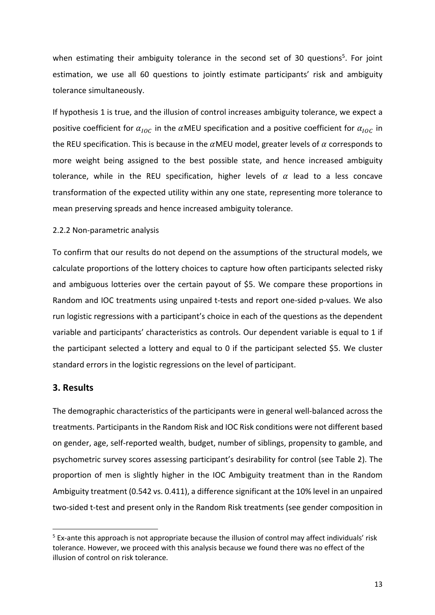when estimating their ambiguity tolerance in the second set of 30 questions<sup>5</sup>. For joint estimation, we use all 60 questions to jointly estimate participants' risk and ambiguity tolerance simultaneously.

If hypothesis 1 is true, and the illusion of control increases ambiguity tolerance, we expect a positive coefficient for  $\alpha_{\text{loc}}$  in the  $\alpha$ MEU specification and a positive coefficient for  $\alpha_{\text{loc}}$  in the REU specification. This is because in the  $\alpha$ MEU model, greater levels of  $\alpha$  corresponds to more weight being assigned to the best possible state, and hence increased ambiguity tolerance, while in the REU specification, higher levels of  $\alpha$  lead to a less concave transformation of the expected utility within any one state, representing more tolerance to mean preserving spreads and hence increased ambiguity tolerance.

#### 2.2.2 Non-parametric analysis

To confirm that our results do not depend on the assumptions of the structural models, we calculate proportions of the lottery choices to capture how often participants selected risky and ambiguous lotteries over the certain payout of \$5. We compare these proportions in Random and IOC treatments using unpaired t-tests and report one-sided p-values. We also run logistic regressions with a participant's choice in each of the questions as the dependent variable and participants' characteristics as controls. Our dependent variable is equal to 1 if the participant selected a lottery and equal to 0 if the participant selected \$5. We cluster standard errors in the logistic regressions on the level of participant.

### **3. Results**

The demographic characteristics of the participants were in general well-balanced across the treatments. Participants in the Random Risk and IOC Risk conditions were not different based on gender, age, self-reported wealth, budget, number of siblings, propensity to gamble, and psychometric survey scores assessing participant's desirability for control (see Table 2). The proportion of men is slightly higher in the IOC Ambiguity treatment than in the Random Ambiguity treatment (0.542 vs. 0.411), a difference significant at the 10% level in an unpaired two-sided t-test and present only in the Random Risk treatments (see gender composition in

<sup>&</sup>lt;sup>5</sup> Ex-ante this approach is not appropriate because the illusion of control may affect individuals' risk tolerance. However, we proceed with this analysis because we found there was no effect of the illusion of control on risk tolerance.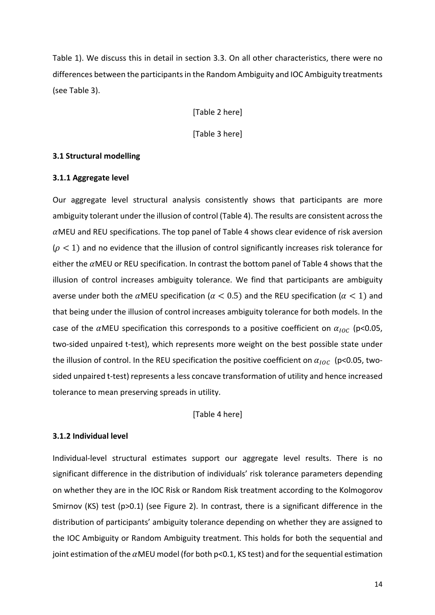Table 1). We discuss this in detail in section 3.3. On all other characteristics, there were no differences between the participants in the Random Ambiguity and IOC Ambiguity treatments (see Table 3).

[Table 2 here]

[Table 3 here]

#### **3.1 Structural modelling**

#### **3.1.1 Aggregate level**

Our aggregate level structural analysis consistently shows that participants are more ambiguity tolerant under the illusion of control (Table 4). The results are consistent across the  $\alpha$ MEU and REU specifications. The top panel of Table 4 shows clear evidence of risk aversion  $(\rho < 1)$  and no evidence that the illusion of control significantly increases risk tolerance for either the  $\alpha$ MEU or REU specification. In contrast the bottom panel of Table 4 shows that the illusion of control increases ambiguity tolerance. We find that participants are ambiguity averse under both the  $\alpha$ MEU specification ( $\alpha < 0.5$ ) and the REU specification ( $\alpha < 1$ ) and that being under the illusion of control increases ambiguity tolerance for both models. In the case of the  $\alpha$ MEU specification this corresponds to a positive coefficient on  $\alpha_{loc}$  (p<0.05, two-sided unpaired t-test), which represents more weight on the best possible state under the illusion of control. In the REU specification the positive coefficient on  $\alpha_{\text{loc}}$  (p<0.05, twosided unpaired t-test) represents a less concave transformation of utility and hence increased tolerance to mean preserving spreads in utility.

[Table 4 here]

### **3.1.2 Individual level**

Individual-level structural estimates support our aggregate level results. There is no significant difference in the distribution of individuals' risk tolerance parameters depending on whether they are in the IOC Risk or Random Risk treatment according to the Kolmogorov Smirnov (KS) test (p>0.1) (see Figure 2). In contrast, there is a significant difference in the distribution of participants' ambiguity tolerance depending on whether they are assigned to the IOC Ambiguity or Random Ambiguity treatment. This holds for both the sequential and joint estimation of the  $\alpha$ MEU model (for both p<0.1, KS test) and for the sequential estimation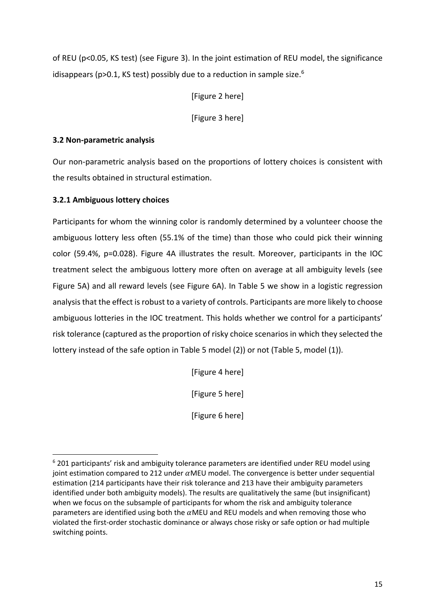of REU (p<0.05, KS test) (see Figure 3). In the joint estimation of REU model, the significance idisappears ( $p>0.1$ , KS test) possibly due to a reduction in sample size.<sup>6</sup>

[Figure 2 here]

[Figure 3 here]

### **3.2 Non-parametric analysis**

Our non-parametric analysis based on the proportions of lottery choices is consistent with the results obtained in structural estimation.

### **3.2.1 Ambiguous lottery choices**

Participants for whom the winning color is randomly determined by a volunteer choose the ambiguous lottery less often (55.1% of the time) than those who could pick their winning color (59.4%, p=0.028). Figure 4A illustrates the result. Moreover, participants in the IOC treatment select the ambiguous lottery more often on average at all ambiguity levels (see Figure 5A) and all reward levels (see Figure 6A). In Table 5 we show in a logistic regression analysis that the effect is robust to a variety of controls. Participants are more likely to choose ambiguous lotteries in the IOC treatment. This holds whether we control for a participants' risk tolerance (captured as the proportion of risky choice scenarios in which they selected the lottery instead of the safe option in Table 5 model (2)) or not (Table 5, model (1)).

[Figure 4 here]

[Figure 5 here]

[Figure 6 here]

 $6$  201 participants' risk and ambiguity tolerance parameters are identified under REU model using joint estimation compared to 212 under  $\alpha$ MEU model. The convergence is better under sequential estimation (214 participants have their risk tolerance and 213 have their ambiguity parameters identified under both ambiguity models). The results are qualitatively the same (but insignificant) when we focus on the subsample of participants for whom the risk and ambiguity tolerance parameters are identified using both the  $\alpha$ MEU and REU models and when removing those who violated the first-order stochastic dominance or always chose risky or safe option or had multiple switching points.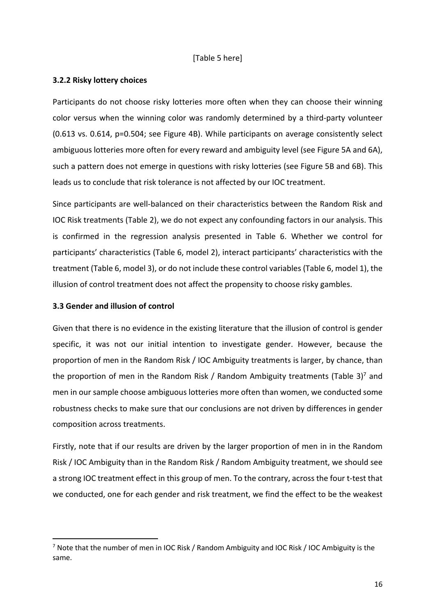### [Table 5 here]

### **3.2.2 Risky lottery choices**

Participants do not choose risky lotteries more often when they can choose their winning color versus when the winning color was randomly determined by a third-party volunteer (0.613 vs. 0.614, p=0.504; see Figure 4B). While participants on average consistently select ambiguous lotteries more often for every reward and ambiguity level (see Figure 5A and 6A), such a pattern does not emerge in questions with risky lotteries (see Figure 5B and 6B). This leads us to conclude that risk tolerance is not affected by our IOC treatment.

Since participants are well-balanced on their characteristics between the Random Risk and IOC Risk treatments (Table 2), we do not expect any confounding factors in our analysis. This is confirmed in the regression analysis presented in Table 6. Whether we control for participants' characteristics (Table 6, model 2), interact participants' characteristics with the treatment (Table 6, model 3), or do not include these control variables (Table 6, model 1), the illusion of control treatment does not affect the propensity to choose risky gambles.

### **3.3 Gender and illusion of control**

Given that there is no evidence in the existing literature that the illusion of control is gender specific, it was not our initial intention to investigate gender. However, because the proportion of men in the Random Risk / IOC Ambiguity treatments is larger, by chance, than the proportion of men in the Random Risk / Random Ambiguity treatments (Table 3)<sup>7</sup> and men in our sample choose ambiguous lotteries more often than women, we conducted some robustness checks to make sure that our conclusions are not driven by differences in gender composition across treatments.

Firstly, note that if our results are driven by the larger proportion of men in in the Random Risk / IOC Ambiguity than in the Random Risk / Random Ambiguity treatment, we should see a strong IOC treatment effect in this group of men. To the contrary, across the four t-test that we conducted, one for each gender and risk treatment, we find the effect to be the weakest

<sup>&</sup>lt;sup>7</sup> Note that the number of men in IOC Risk / Random Ambiguity and IOC Risk / IOC Ambiguity is the same.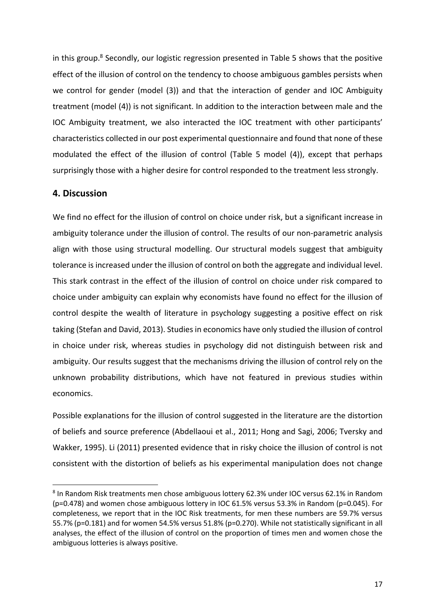in this group.<sup>8</sup> Secondly, our logistic regression presented in Table 5 shows that the positive effect of the illusion of control on the tendency to choose ambiguous gambles persists when we control for gender (model (3)) and that the interaction of gender and IOC Ambiguity treatment (model (4)) is not significant. In addition to the interaction between male and the IOC Ambiguity treatment, we also interacted the IOC treatment with other participants' characteristics collected in our post experimental questionnaire and found that none of these modulated the effect of the illusion of control (Table 5 model (4)), except that perhaps surprisingly those with a higher desire for control responded to the treatment less strongly.

### **4. Discussion**

We find no effect for the illusion of control on choice under risk, but a significant increase in ambiguity tolerance under the illusion of control. The results of our non-parametric analysis align with those using structural modelling. Our structural models suggest that ambiguity tolerance is increased under the illusion of control on both the aggregate and individual level. This stark contrast in the effect of the illusion of control on choice under risk compared to choice under ambiguity can explain why economists have found no effect for the illusion of control despite the wealth of literature in psychology suggesting a positive effect on risk taking (Stefan and David, 2013). Studies in economics have only studied the illusion of control in choice under risk, whereas studies in psychology did not distinguish between risk and ambiguity. Our results suggest that the mechanisms driving the illusion of control rely on the unknown probability distributions, which have not featured in previous studies within economics.

Possible explanations for the illusion of control suggested in the literature are the distortion of beliefs and source preference (Abdellaoui et al., 2011; Hong and Sagi, 2006; Tversky and Wakker, 1995). Li (2011) presented evidence that in risky choice the illusion of control is not consistent with the distortion of beliefs as his experimental manipulation does not change

<sup>8</sup> In Random Risk treatments men chose ambiguous lottery 62.3% under IOC versus 62.1% in Random (p=0.478) and women chose ambiguous lottery in IOC 61.5% versus 53.3% in Random (p=0.045). For completeness, we report that in the IOC Risk treatments, for men these numbers are 59.7% versus 55.7% (p=0.181) and for women 54.5% versus 51.8% (p=0.270). While not statistically significant in all analyses, the effect of the illusion of control on the proportion of times men and women chose the ambiguous lotteries is always positive.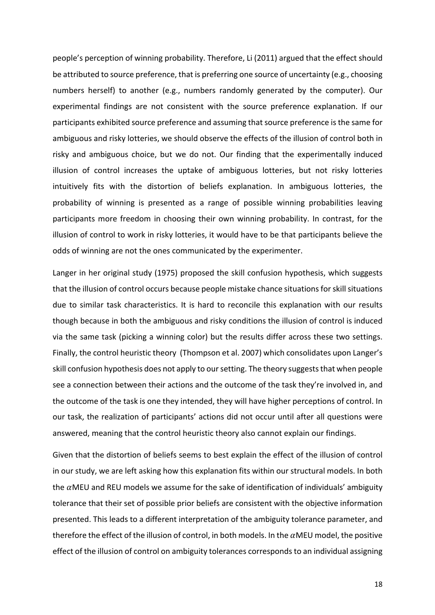people's perception of winning probability. Therefore, Li (2011) argued that the effect should be attributed to source preference, that is preferring one source of uncertainty (e.g., choosing numbers herself) to another (e.g., numbers randomly generated by the computer). Our experimental findings are not consistent with the source preference explanation. If our participants exhibited source preference and assuming that source preference is the same for ambiguous and risky lotteries, we should observe the effects of the illusion of control both in risky and ambiguous choice, but we do not. Our finding that the experimentally induced illusion of control increases the uptake of ambiguous lotteries, but not risky lotteries intuitively fits with the distortion of beliefs explanation. In ambiguous lotteries, the probability of winning is presented as a range of possible winning probabilities leaving participants more freedom in choosing their own winning probability. In contrast, for the illusion of control to work in risky lotteries, it would have to be that participants believe the odds of winning are not the ones communicated by the experimenter.

Langer in her original study (1975) proposed the skill confusion hypothesis, which suggests that the illusion of control occurs because people mistake chance situations for skill situations due to similar task characteristics. It is hard to reconcile this explanation with our results though because in both the ambiguous and risky conditions the illusion of control is induced via the same task (picking a winning color) but the results differ across these two settings. Finally, the control heuristic theory (Thompson et al. 2007) which consolidates upon Langer's skill confusion hypothesis does not apply to our setting. The theory suggests that when people see a connection between their actions and the outcome of the task they're involved in, and the outcome of the task is one they intended, they will have higher perceptions of control. In our task, the realization of participants' actions did not occur until after all questions were answered, meaning that the control heuristic theory also cannot explain our findings.

Given that the distortion of beliefs seems to best explain the effect of the illusion of control in our study, we are left asking how this explanation fits within our structural models. In both the  $\alpha$ MEU and REU models we assume for the sake of identification of individuals' ambiguity tolerance that their set of possible prior beliefs are consistent with the objective information presented. This leads to a different interpretation of the ambiguity tolerance parameter, and therefore the effect of the illusion of control, in both models. In the  $\alpha$ MEU model, the positive effect of the illusion of control on ambiguity tolerances corresponds to an individual assigning

18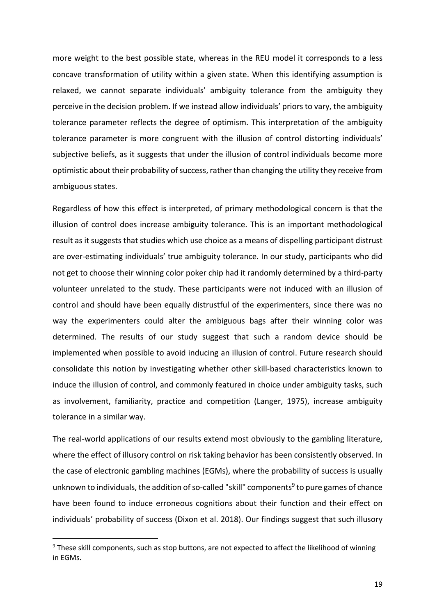more weight to the best possible state, whereas in the REU model it corresponds to a less concave transformation of utility within a given state. When this identifying assumption is relaxed, we cannot separate individuals' ambiguity tolerance from the ambiguity they perceive in the decision problem. If we instead allow individuals' priors to vary, the ambiguity tolerance parameter reflects the degree of optimism. This interpretation of the ambiguity tolerance parameter is more congruent with the illusion of control distorting individuals' subjective beliefs, as it suggests that under the illusion of control individuals become more optimistic about their probability of success, rather than changing the utility they receive from ambiguous states.

Regardless of how this effect is interpreted, of primary methodological concern is that the illusion of control does increase ambiguity tolerance. This is an important methodological result as it suggests that studies which use choice as a means of dispelling participant distrust are over-estimating individuals' true ambiguity tolerance. In our study, participants who did not get to choose their winning color poker chip had it randomly determined by a third-party volunteer unrelated to the study. These participants were not induced with an illusion of control and should have been equally distrustful of the experimenters, since there was no way the experimenters could alter the ambiguous bags after their winning color was determined. The results of our study suggest that such a random device should be implemented when possible to avoid inducing an illusion of control. Future research should consolidate this notion by investigating whether other skill-based characteristics known to induce the illusion of control, and commonly featured in choice under ambiguity tasks, such as involvement, familiarity, practice and competition (Langer, 1975), increase ambiguity tolerance in a similar way.

The real-world applications of our results extend most obviously to the gambling literature, where the effect of illusory control on risk taking behavior has been consistently observed. In the case of electronic gambling machines (EGMs), where the probability of success is usually unknown to individuals, the addition of so-called "skill" components<sup>9</sup> to pure games of chance have been found to induce erroneous cognitions about their function and their effect on individuals' probability of success (Dixon et al. 2018). Our findings suggest that such illusory

<sup>&</sup>lt;sup>9</sup> These skill components, such as stop buttons, are not expected to affect the likelihood of winning in EGMs.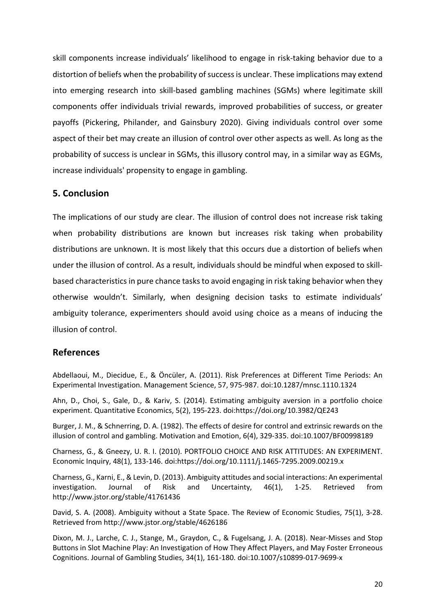skill components increase individuals' likelihood to engage in risk-taking behavior due to a distortion of beliefs when the probability of success is unclear. These implications may extend into emerging research into skill-based gambling machines (SGMs) where legitimate skill components offer individuals trivial rewards, improved probabilities of success, or greater payoffs (Pickering, Philander, and Gainsbury 2020). Giving individuals control over some aspect of their bet may create an illusion of control over other aspects as well. As long as the probability of success is unclear in SGMs, this illusory control may, in a similar way as EGMs, increase individuals' propensity to engage in gambling.

### **5. Conclusion**

The implications of our study are clear. The illusion of control does not increase risk taking when probability distributions are known but increases risk taking when probability distributions are unknown. It is most likely that this occurs due a distortion of beliefs when under the illusion of control. As a result, individuals should be mindful when exposed to skillbased characteristics in pure chance tasksto avoid engaging in risk taking behavior when they otherwise wouldn't. Similarly, when designing decision tasks to estimate individuals' ambiguity tolerance, experimenters should avoid using choice as a means of inducing the illusion of control.

### **References**

Abdellaoui, M., Diecidue, E., & Öncüler, A. (2011). Risk Preferences at Different Time Periods: An Experimental Investigation. Management Science, 57, 975-987. doi:10.1287/mnsc.1110.1324

Ahn, D., Choi, S., Gale, D., & Kariv, S. (2014). Estimating ambiguity aversion in a portfolio choice experiment. Quantitative Economics, 5(2), 195-223. doi:https://doi.org/10.3982/QE243

Burger, J. M., & Schnerring, D. A. (1982). The effects of desire for control and extrinsic rewards on the illusion of control and gambling. Motivation and Emotion, 6(4), 329-335. doi:10.1007/BF00998189

Charness, G., & Gneezy, U. R. I. (2010). PORTFOLIO CHOICE AND RISK ATTITUDES: AN EXPERIMENT. Economic Inquiry, 48(1), 133-146. doi:https://doi.org/10.1111/j.1465-7295.2009.00219.x

Charness, G., Karni, E., & Levin, D. (2013). Ambiguity attitudes and social interactions: An experimental investigation. Journal of Risk and Uncertainty, 46(1), 1-25. Retrieved from http://www.jstor.org/stable/41761436

David, S. A. (2008). Ambiguity without a State Space. The Review of Economic Studies, 75(1), 3-28. Retrieved from http://www.jstor.org/stable/4626186

Dixon, M. J., Larche, C. J., Stange, M., Graydon, C., & Fugelsang, J. A. (2018). Near-Misses and Stop Buttons in Slot Machine Play: An Investigation of How They Affect Players, and May Foster Erroneous Cognitions. Journal of Gambling Studies, 34(1), 161-180. doi:10.1007/s10899-017-9699-x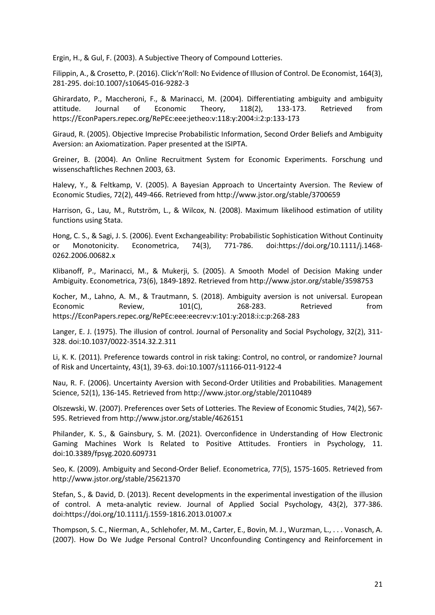Ergin, H., & Gul, F. (2003). A Subjective Theory of Compound Lotteries.

Filippin, A., & Crosetto, P. (2016). Click'n'Roll: No Evidence of Illusion of Control. De Economist, 164(3), 281-295. doi:10.1007/s10645-016-9282-3

Ghirardato, P., Maccheroni, F., & Marinacci, M. (2004). Differentiating ambiguity and ambiguity attitude. Journal of Economic Theory, 118(2), 133-173. Retrieved from https://EconPapers.repec.org/RePEc:eee:jetheo:v:118:y:2004:i:2:p:133-173

Giraud, R. (2005). Objective Imprecise Probabilistic Information, Second Order Beliefs and Ambiguity Aversion: an Axiomatization. Paper presented at the ISIPTA.

Greiner, B. (2004). An Online Recruitment System for Economic Experiments. Forschung und wissenschaftliches Rechnen 2003, 63.

Halevy, Y., & Feltkamp, V. (2005). A Bayesian Approach to Uncertainty Aversion. The Review of Economic Studies, 72(2), 449-466. Retrieved from http://www.jstor.org/stable/3700659

Harrison, G., Lau, M., Rutström, L., & Wilcox, N. (2008). Maximum likelihood estimation of utility functions using Stata.

Hong, C. S., & Sagi, J. S. (2006). Event Exchangeability: Probabilistic Sophistication Without Continuity or Monotonicity. Econometrica, 74(3), 771-786. doi:https://doi.org/10.1111/j.1468- 0262.2006.00682.x

Klibanoff, P., Marinacci, M., & Mukerji, S. (2005). A Smooth Model of Decision Making under Ambiguity. Econometrica, 73(6), 1849-1892. Retrieved from http://www.jstor.org/stable/3598753

Kocher, M., Lahno, A. M., & Trautmann, S. (2018). Ambiguity aversion is not universal. European Economic Review, 101(C), 268-283. Retrieved from https://EconPapers.repec.org/RePEc:eee:eecrev:v:101:y:2018:i:c:p:268-283

Langer, E. J. (1975). The illusion of control. Journal of Personality and Social Psychology, 32(2), 311- 328. doi:10.1037/0022-3514.32.2.311

Li, K. K. (2011). Preference towards control in risk taking: Control, no control, or randomize? Journal of Risk and Uncertainty, 43(1), 39-63. doi:10.1007/s11166-011-9122-4

Nau, R. F. (2006). Uncertainty Aversion with Second-Order Utilities and Probabilities. Management Science, 52(1), 136-145. Retrieved from http://www.jstor.org/stable/20110489

Olszewski, W. (2007). Preferences over Sets of Lotteries. The Review of Economic Studies, 74(2), 567- 595. Retrieved from http://www.jstor.org/stable/4626151

Philander, K. S., & Gainsbury, S. M. (2021). Overconfidence in Understanding of How Electronic Gaming Machines Work Is Related to Positive Attitudes. Frontiers in Psychology, 11. doi:10.3389/fpsyg.2020.609731

Seo, K. (2009). Ambiguity and Second-Order Belief. Econometrica, 77(5), 1575-1605. Retrieved from http://www.jstor.org/stable/25621370

Stefan, S., & David, D. (2013). Recent developments in the experimental investigation of the illusion of control. A meta-analytic review. Journal of Applied Social Psychology, 43(2), 377-386. doi:https://doi.org/10.1111/j.1559-1816.2013.01007.x

Thompson, S. C., Nierman, A., Schlehofer, M. M., Carter, E., Bovin, M. J., Wurzman, L., . . . Vonasch, A. (2007). How Do We Judge Personal Control? Unconfounding Contingency and Reinforcement in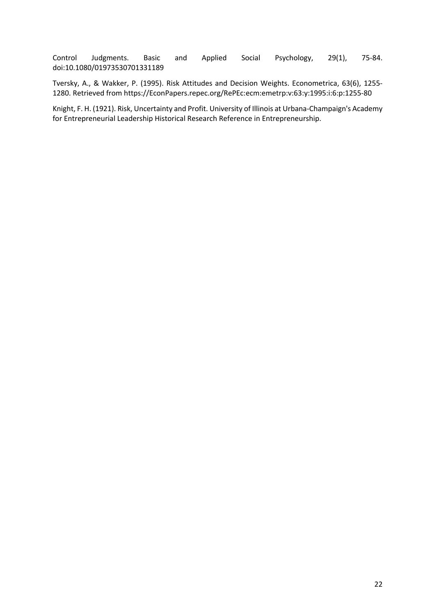Control Judgments. Basic and Applied Social Psychology, 29(1), 75-84. doi:10.1080/01973530701331189

Tversky, A., & Wakker, P. (1995). Risk Attitudes and Decision Weights. Econometrica, 63(6), 1255- 1280. Retrieved from https://EconPapers.repec.org/RePEc:ecm:emetrp:v:63:y:1995:i:6:p:1255-80

Knight, F. H. (1921). Risk, Uncertainty and Profit. University of Illinois at Urbana-Champaign's Academy for Entrepreneurial Leadership Historical Research Reference in Entrepreneurship.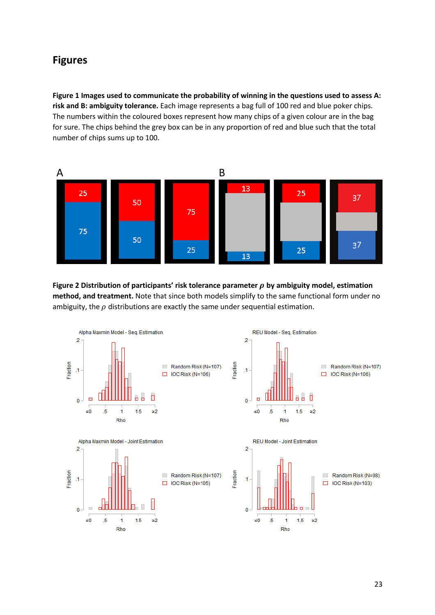# **Figures**

**Figure 1 Images used to communicate the probability of winning in the questions used to assess A: risk and B: ambiguity tolerance.** Each image represents a bag full of 100 red and blue poker chips. The numbers within the coloured boxes represent how many chips of a given colour are in the bag for sure. The chips behind the grey box can be in any proportion of red and blue such that the total number of chips sums up to 100.



**Figure 2 Distribution of participants' risk tolerance parameter by ambiguity model, estimation method, and treatment.** Note that since both models simplify to the same functional form under no ambiguity, the  $\rho$  distributions are exactly the same under sequential estimation.

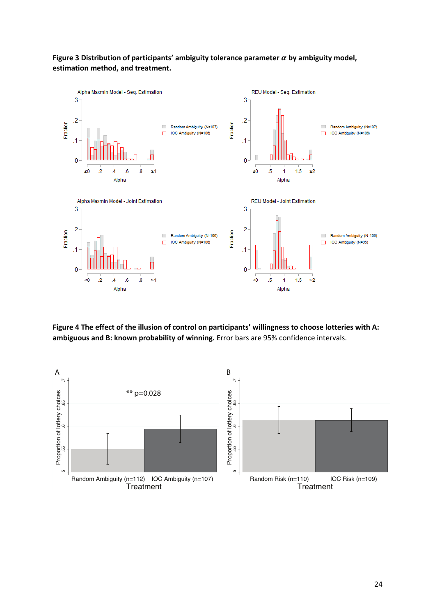### Figure 3 Distribution of participants' ambiguity tolerance parameter  $\alpha$  by ambiguity model, **estimation method, and treatment.**



**Figure 4 The effect of the illusion of control on participants' willingness to choose lotteries with A: ambiguous and B: known probability of winning.** Error bars are 95% confidence intervals.

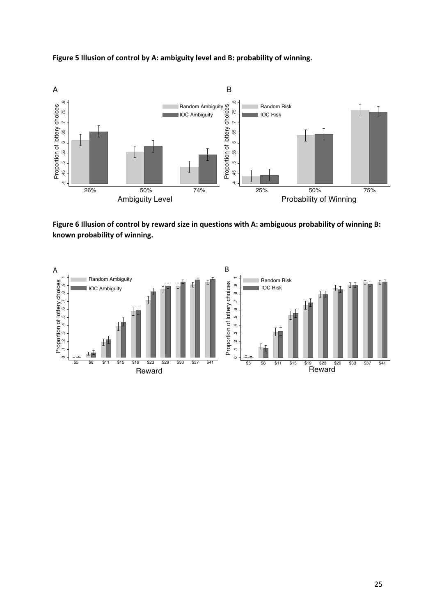





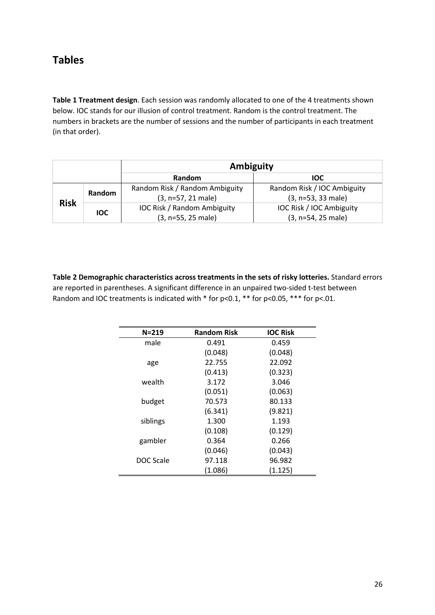# **Tables**

**Table 1 Treatment design**. Each session was randomly allocated to one of the 4 treatments shown below. IOC stands for our illusion of control treatment. Random is the control treatment. The numbers in brackets are the number of sessions and the number of participants in each treatment (in that order).

|             |            | Ambiguity                                                |                                                     |  |  |
|-------------|------------|----------------------------------------------------------|-----------------------------------------------------|--|--|
|             |            | <b>Random</b>                                            | <b>IOC</b>                                          |  |  |
| <b>Risk</b> | Random     | Random Risk / Random Ambiguity<br>(3, n=57, 21 male)     | Random Risk / IOC Ambiguity<br>$(3, n=53, 33$ male) |  |  |
|             | <b>IOC</b> | <b>IOC Risk / Random Ambiguity</b><br>(3, n=55, 25 male) | IOC Risk / IOC Ambiguity<br>(3, n=54, 25 male)      |  |  |

**Table 2 Demographic characteristics across treatments in the sets of risky lotteries.** Standard errors are reported in parentheses. A significant difference in an unpaired two-sided t-test between Random and IOC treatments is indicated with  $*$  for p<0.1,  $**$  for p<0.05,  $***$  for p<.01.

| $N = 219$ | <b>Random Risk</b> | <b>IOC Risk</b> |
|-----------|--------------------|-----------------|
| male      | 0.491              | 0.459           |
|           | (0.048)            | (0.048)         |
| age       | 22.755             | 22.092          |
|           | (0.413)            | (0.323)         |
| wealth    | 3.172              | 3.046           |
|           | (0.051)            | (0.063)         |
| budget    | 70.573             | 80.133          |
|           | (6.341)            | (9.821)         |
| siblings  | 1.300              | 1.193           |
|           | (0.108)            | (0.129)         |
| gambler   | 0.364              | 0.266           |
|           | (0.046)            | (0.043)         |
| DOC Scale | 97.118             | 96.982          |
|           | (1.086)            | (1.125)         |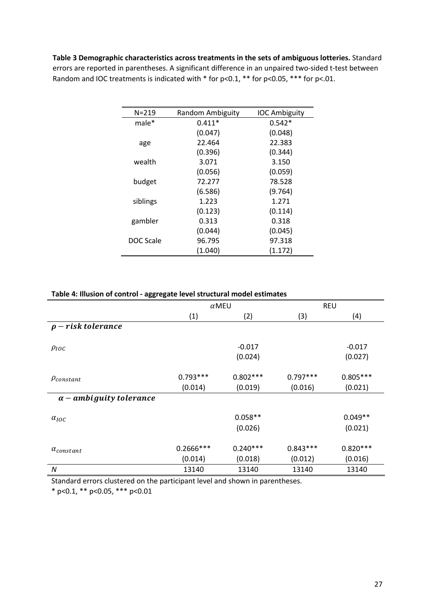**Table 3 Demographic characteristics across treatments in the sets of ambiguous lotteries.** Standard errors are reported in parentheses. A significant difference in an unpaired two-sided t-test between Random and IOC treatments is indicated with  $*$  for p<0.1,  $**$  for p<0.05,  $***$  for p<.01.

| $N = 219$ | Random Ambiguity | <b>IOC Ambiguity</b> |
|-----------|------------------|----------------------|
| male*     | $0.411*$         | $0.542*$             |
|           | (0.047)          | (0.048)              |
| age       | 22.464           | 22.383               |
|           | (0.396)          | (0.344)              |
| wealth    | 3.071            | 3.150                |
|           | (0.056)          | (0.059)              |
| budget    | 72.277           | 78.528               |
|           | (6.586)          | (9.764)              |
| siblings  | 1.223            | 1.271                |
|           | (0.123)          | (0.114)              |
| gambler   | 0.313            | 0.318                |
|           | (0.044)          | (0.045)              |
| DOC Scale | 96.795           | 97.318               |
|           | (1.040)          | (1.172)              |

| Table 4: Illusion of control - aggregate level structural model estimates |
|---------------------------------------------------------------------------|
|---------------------------------------------------------------------------|

|                                | $\alpha$ MEU           |                       |                       | <b>REU</b>            |
|--------------------------------|------------------------|-----------------------|-----------------------|-----------------------|
|                                | (1)                    | (2)                   | (3)                   | (4)                   |
| $\rho$ – risk tolerance        |                        |                       |                       |                       |
| $\rho_{loc}$                   |                        | $-0.017$<br>(0.024)   |                       | $-0.017$<br>(0.027)   |
| $\rho_{constant}$              | $0.793***$<br>(0.014)  | $0.802***$<br>(0.019) | $0.797***$<br>(0.016) | $0.805***$<br>(0.021) |
| $\alpha$ – ambiguity tolerance |                        |                       |                       |                       |
| $\alpha_{IOC}$                 |                        | $0.058**$<br>(0.026)  |                       | $0.049**$<br>(0.021)  |
| $\alpha_{constant}$            | $0.2666***$<br>(0.014) | $0.240***$<br>(0.018) | $0.843***$<br>(0.012) | $0.820***$<br>(0.016) |
| N                              | 13140                  | 13140                 | 13140                 | 13140                 |

Standard errors clustered on the participant level and shown in parentheses.

\* p<0.1, \*\* p<0.05, \*\*\* p<0.01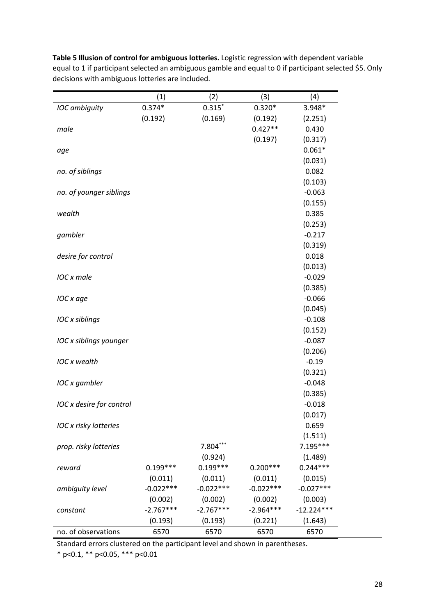|                          | (1)         | (2)         | (3)         | (4)          |
|--------------------------|-------------|-------------|-------------|--------------|
| IOC ambiguity            | $0.374*$    | $0.315*$    | $0.320*$    | 3.948*       |
|                          | (0.192)     | (0.169)     | (0.192)     | (2.251)      |
| male                     |             |             | $0.427**$   | 0.430        |
|                          |             |             | (0.197)     | (0.317)      |
| age                      |             |             |             | $0.061*$     |
|                          |             |             |             | (0.031)      |
| no. of siblings          |             |             |             | 0.082        |
|                          |             |             |             | (0.103)      |
| no. of younger siblings  |             |             |             | $-0.063$     |
|                          |             |             |             | (0.155)      |
| wealth                   |             |             |             | 0.385        |
|                          |             |             |             | (0.253)      |
| gambler                  |             |             |             | $-0.217$     |
|                          |             |             |             | (0.319)      |
| desire for control       |             |             |             | 0.018        |
|                          |             |             |             | (0.013)      |
| IOC x male               |             |             |             | $-0.029$     |
|                          |             |             |             | (0.385)      |
| IOC x age                |             |             |             | $-0.066$     |
|                          |             |             |             | (0.045)      |
| IOC x siblings           |             |             |             | $-0.108$     |
|                          |             |             |             | (0.152)      |
| IOC x siblings younger   |             |             |             | $-0.087$     |
|                          |             |             |             | (0.206)      |
| <b>IOC</b> x wealth      |             |             |             | $-0.19$      |
|                          |             |             |             | (0.321)      |
| IOC x gambler            |             |             |             | $-0.048$     |
|                          |             |             |             | (0.385)      |
| IOC x desire for control |             |             |             | $-0.018$     |
|                          |             |             |             | (0.017)      |
| IOC x risky lotteries    |             |             |             | 0.659        |
|                          |             |             |             | (1.511)      |
| prop. risky lotteries    |             | $7.804***$  |             | $7.195***$   |
|                          |             | (0.924)     |             | (1.489)      |
| reward                   | $0.199***$  | $0.199***$  | $0.200***$  | $0.244***$   |
|                          | (0.011)     | (0.011)     | (0.011)     | (0.015)      |
| ambiguity level          | $-0.022***$ | $-0.022***$ | $-0.022***$ | $-0.027***$  |
|                          | (0.002)     | (0.002)     | (0.002)     | (0.003)      |
| constant                 | $-2.767***$ | $-2.767***$ | $-2.964***$ | $-12.224***$ |
|                          | (0.193)     | (0.193)     | (0.221)     | (1.643)      |
| no. of observations      | 6570        | 6570        | 6570        | 6570         |

**Table 5 Illusion of control for ambiguous lotteries.** Logistic regression with dependent variable equal to 1 if participant selected an ambiguous gamble and equal to 0 if participant selected \$5. Only decisions with ambiguous lotteries are included.

Standard errors clustered on the participant level and shown in parentheses.

\* p<0.1, \*\* p<0.05, \*\*\* p<0.01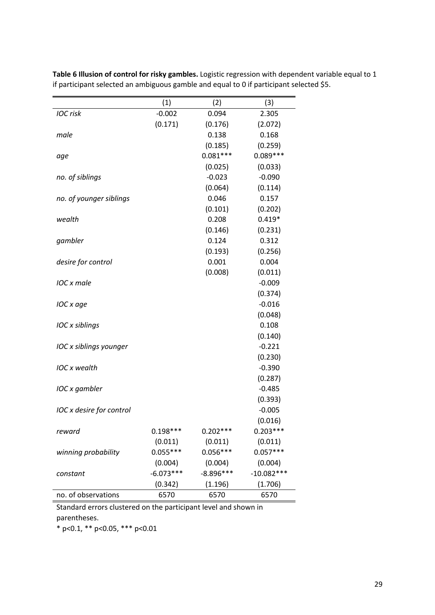|                          | (1)         | (2)         | (3)          |
|--------------------------|-------------|-------------|--------------|
| <b>IOC</b> risk          | $-0.002$    | 0.094       | 2.305        |
|                          | (0.171)     | (0.176)     | (2.072)      |
| male                     |             | 0.138       | 0.168        |
|                          |             | (0.185)     | (0.259)      |
| age                      |             | $0.081***$  | $0.089***$   |
|                          |             | (0.025)     | (0.033)      |
| no. of siblings          |             | $-0.023$    | $-0.090$     |
|                          |             | (0.064)     | (0.114)      |
| no. of younger siblings  |             | 0.046       | 0.157        |
|                          |             | (0.101)     | (0.202)      |
| wealth                   |             | 0.208       | $0.419*$     |
|                          |             | (0.146)     | (0.231)      |
| gambler                  |             | 0.124       | 0.312        |
|                          |             | (0.193)     | (0.256)      |
| desire for control       |             | 0.001       | 0.004        |
|                          |             | (0.008)     | (0.011)      |
| IOC x male               |             |             | $-0.009$     |
|                          |             |             | (0.374)      |
| IOC x age                |             |             | $-0.016$     |
|                          |             |             | (0.048)      |
| IOC x siblings           |             |             | 0.108        |
|                          |             |             | (0.140)      |
| IOC x siblings younger   |             |             | $-0.221$     |
|                          |             |             | (0.230)      |
| <b>IOC</b> x wealth      |             |             | $-0.390$     |
|                          |             |             | (0.287)      |
| IOC x gambler            |             |             | $-0.485$     |
|                          |             |             | (0.393)      |
| IOC x desire for control |             |             | $-0.005$     |
|                          |             |             | (0.016)      |
| reward                   | $0.198***$  | $0.202***$  | $0.203***$   |
|                          | (0.011)     | (0.011)     | (0.011)      |
| winning probability      | $0.055***$  | $0.056***$  | $0.057***$   |
|                          | (0.004)     | (0.004)     | (0.004)      |
| constant                 | $-6.073***$ | $-8.896***$ | $-10.082***$ |
|                          | (0.342)     | (1.196)     | (1.706)      |
| no. of observations      | 6570        | 6570        | 6570         |

**Table 6 Illusion of control for risky gambles.** Logistic regression with dependent variable equal to 1 if participant selected an ambiguous gamble and equal to 0 if participant selected \$5.

Standard errors clustered on the participant level and shown in parentheses.

\* p<0.1, \*\* p<0.05, \*\*\* p<0.01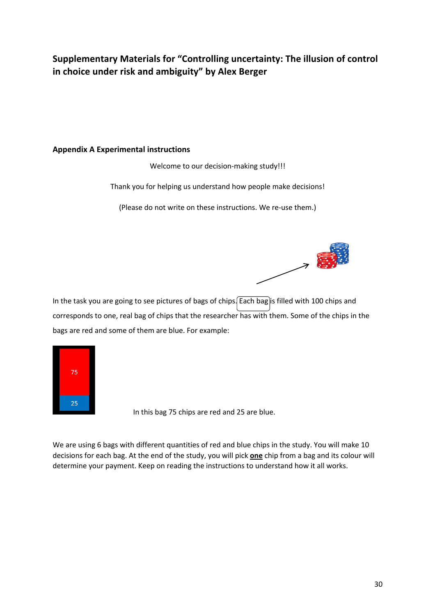# **Supplementary Materials for "Controlling uncertainty: The illusion of control in choice under risk and ambiguity" by Alex Berger**

### **Appendix A Experimental instructions**

Welcome to our decision-making study!!!

Thank you for helping us understand how people make decisions!

(Please do not write on these instructions. We re-use them.)



In the task you are going to see pictures of bags of chips. Each bag is filled with 100 chips and corresponds to one, real bag of chips that the researcher has with them. Some of the chips in the bags are red and some of them are blue. For example:



In this bag 75 chips are red and 25 are blue.

We are using 6 bags with different quantities of red and blue chips in the study. You will make 10 decisions for each bag. At the end of the study, you will pick **one** chip from a bag and its colour will determine your payment. Keep on reading the instructions to understand how it all works.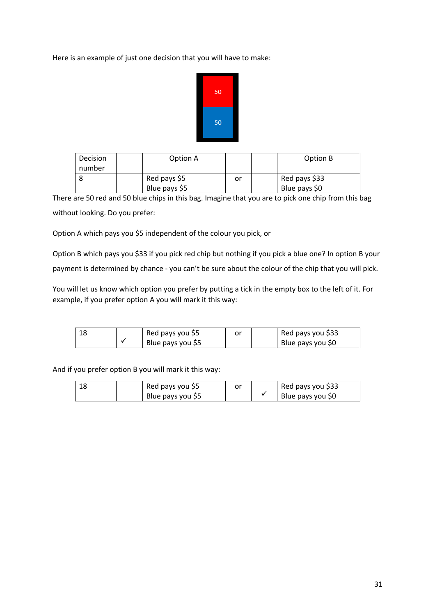Here is an example of just one decision that you will have to make:



| Decision<br>number | Option A      |    | Option B      |
|--------------------|---------------|----|---------------|
|                    | Red pays \$5  | or | Red pays \$33 |
|                    | Blue pays \$5 |    | Blue pays \$0 |

There are 50 red and 50 blue chips in this bag. Imagine that you are to pick one chip from this bag without looking. Do you prefer:

Option A which pays you \$5 independent of the colour you pick, or

Option B which pays you \$33 if you pick red chip but nothing if you pick a blue one? In option B your payment is determined by chance - you can't be sure about the colour of the chip that you will pick.

You will let us know which option you prefer by putting a tick in the empty box to the left of it. For example, if you prefer option A you will mark it this way:

|  | Red pays you \$5  |  | Red pays you \$33 |
|--|-------------------|--|-------------------|
|  | Blue pays you \$5 |  | Blue pays you S0  |

And if you prefer option B you will mark it this way:

|  | Red pays you \$5  |  | Red pays you \$33 |
|--|-------------------|--|-------------------|
|  | Blue pays you \$5 |  | Blue pays you \$0 |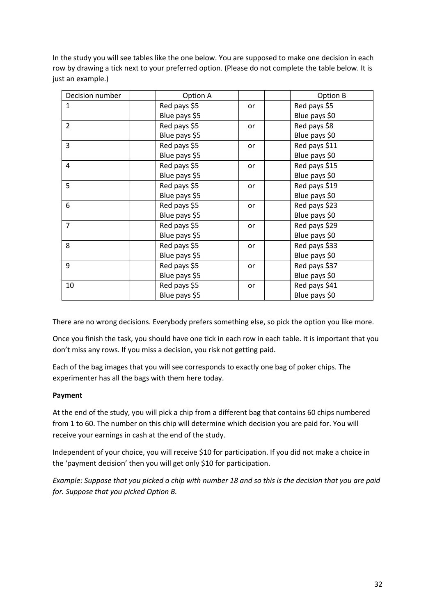In the study you will see tables like the one below. You are supposed to make one decision in each row by drawing a tick next to your preferred option. (Please do not complete the table below. It is just an example.)

| Decision number | Option A      |    | Option B      |
|-----------------|---------------|----|---------------|
| $\mathbf{1}$    | Red pays \$5  | or | Red pays \$5  |
|                 | Blue pays \$5 |    | Blue pays \$0 |
| $\overline{2}$  | Red pays \$5  | or | Red pays \$8  |
|                 | Blue pays \$5 |    | Blue pays \$0 |
| $\overline{3}$  | Red pays \$5  | or | Red pays \$11 |
|                 | Blue pays \$5 |    | Blue pays \$0 |
| 4               | Red pays \$5  | or | Red pays \$15 |
|                 | Blue pays \$5 |    | Blue pays \$0 |
| 5               | Red pays \$5  | or | Red pays \$19 |
|                 | Blue pays \$5 |    | Blue pays \$0 |
| 6               | Red pays \$5  | or | Red pays \$23 |
|                 | Blue pays \$5 |    | Blue pays \$0 |
| $\overline{7}$  | Red pays \$5  | or | Red pays \$29 |
|                 | Blue pays \$5 |    | Blue pays \$0 |
| 8               | Red pays \$5  | or | Red pays \$33 |
|                 | Blue pays \$5 |    | Blue pays \$0 |
| 9               | Red pays \$5  | or | Red pays \$37 |
|                 | Blue pays \$5 |    | Blue pays \$0 |
| 10              | Red pays \$5  | or | Red pays \$41 |
|                 | Blue pays \$5 |    | Blue pays \$0 |

There are no wrong decisions. Everybody prefers something else, so pick the option you like more.

Once you finish the task, you should have one tick in each row in each table. It is important that you don't miss any rows. If you miss a decision, you risk not getting paid.

Each of the bag images that you will see corresponds to exactly one bag of poker chips. The experimenter has all the bags with them here today.

### **Payment**

At the end of the study, you will pick a chip from a different bag that contains 60 chips numbered from 1 to 60. The number on this chip will determine which decision you are paid for. You will receive your earnings in cash at the end of the study.

Independent of your choice, you will receive \$10 for participation. If you did not make a choice in the 'payment decision' then you will get only \$10 for participation.

*Example: Suppose that you picked a chip with number 18 and so this is the decision that you are paid for. Suppose that you picked Option B.*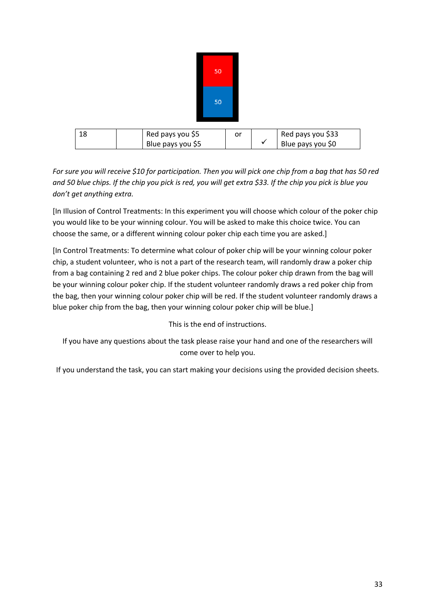|    |                                       | 50 |    |              |                                        |
|----|---------------------------------------|----|----|--------------|----------------------------------------|
|    |                                       | 50 |    |              |                                        |
| 18 | Red pays you \$5<br>Blue pays you \$5 |    | or |              | Red pays you \$33<br>Blue pays you \$0 |
|    |                                       |    |    | $\checkmark$ |                                        |

*For sure you will receive \$10 for participation. Then you will pick one chip from a bag that has 50 red and 50 blue chips. If the chip you pick is red, you will get extra \$33. If the chip you pick is blue you don't get anything extra.* 

[In Illusion of Control Treatments: In this experiment you will choose which colour of the poker chip you would like to be your winning colour. You will be asked to make this choice twice. You can choose the same, or a different winning colour poker chip each time you are asked.]

[In Control Treatments: To determine what colour of poker chip will be your winning colour poker chip, a student volunteer, who is not a part of the research team, will randomly draw a poker chip from a bag containing 2 red and 2 blue poker chips. The colour poker chip drawn from the bag will be your winning colour poker chip. If the student volunteer randomly draws a red poker chip from the bag, then your winning colour poker chip will be red. If the student volunteer randomly draws a blue poker chip from the bag, then your winning colour poker chip will be blue.]

This is the end of instructions.

If you have any questions about the task please raise your hand and one of the researchers will come over to help you.

If you understand the task, you can start making your decisions using the provided decision sheets.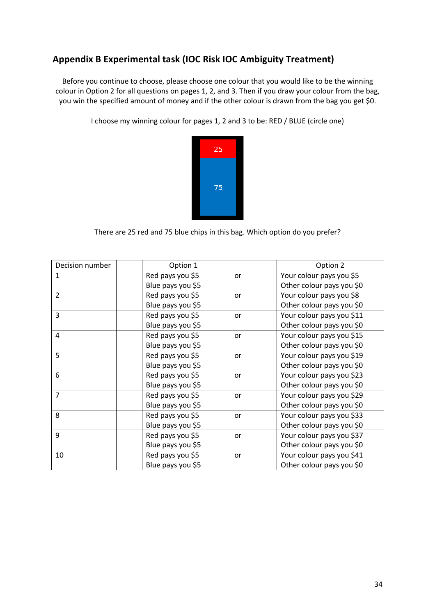## **Appendix B Experimental task (IOC Risk IOC Ambiguity Treatment)**

Before you continue to choose, please choose one colour that you would like to be the winning colour in Option 2 for all questions on pages 1, 2, and 3. Then if you draw your colour from the bag, you win the specified amount of money and if the other colour is drawn from the bag you get \$0.

I choose my winning colour for pages 1, 2 and 3 to be: RED / BLUE (circle one)



There are 25 red and 75 blue chips in this bag. Which option do you prefer?

| Decision number | Option 1          |    | Option 2                  |
|-----------------|-------------------|----|---------------------------|
| 1               | Red pays you \$5  | or | Your colour pays you \$5  |
|                 | Blue pays you \$5 |    | Other colour pays you \$0 |
| $\overline{2}$  | Red pays you \$5  | or | Your colour pays you \$8  |
|                 | Blue pays you \$5 |    | Other colour pays you \$0 |
| 3               | Red pays you \$5  | or | Your colour pays you \$11 |
|                 | Blue pays you \$5 |    | Other colour pays you \$0 |
| 4               | Red pays you \$5  | or | Your colour pays you \$15 |
|                 | Blue pays you \$5 |    | Other colour pays you \$0 |
| 5               | Red pays you \$5  | or | Your colour pays you \$19 |
|                 | Blue pays you \$5 |    | Other colour pays you \$0 |
| 6               | Red pays you \$5  | or | Your colour pays you \$23 |
|                 | Blue pays you \$5 |    | Other colour pays you \$0 |
| $\overline{7}$  | Red pays you \$5  | or | Your colour pays you \$29 |
|                 | Blue pays you \$5 |    | Other colour pays you \$0 |
| 8               | Red pays you \$5  | or | Your colour pays you \$33 |
|                 | Blue pays you \$5 |    | Other colour pays you \$0 |
| 9               | Red pays you \$5  | or | Your colour pays you \$37 |
|                 | Blue pays you \$5 |    | Other colour pays you \$0 |
| 10              | Red pays you \$5  | or | Your colour pays you \$41 |
|                 | Blue pays you \$5 |    | Other colour pays you \$0 |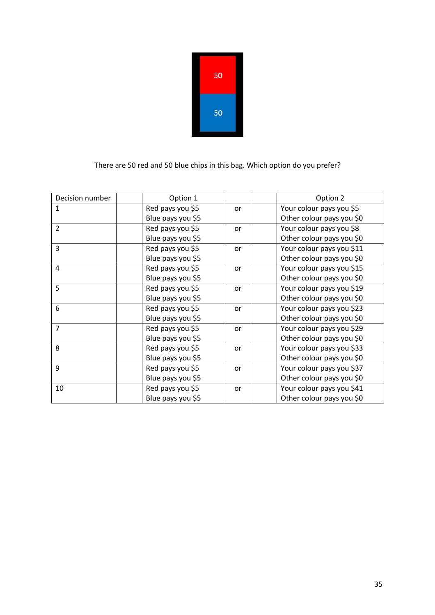| 50 |
|----|
| 50 |

There are 50 red and 50 blue chips in this bag. Which option do you prefer?

| Decision number | Option 1          |    | Option 2                  |
|-----------------|-------------------|----|---------------------------|
| 1               | Red pays you \$5  | or | Your colour pays you \$5  |
|                 | Blue pays you \$5 |    | Other colour pays you \$0 |
| $\overline{2}$  | Red pays you \$5  | or | Your colour pays you \$8  |
|                 | Blue pays you \$5 |    | Other colour pays you \$0 |
| 3               | Red pays you \$5  | or | Your colour pays you \$11 |
|                 | Blue pays you \$5 |    | Other colour pays you \$0 |
| 4               | Red pays you \$5  | or | Your colour pays you \$15 |
|                 | Blue pays you \$5 |    | Other colour pays you \$0 |
| 5               | Red pays you \$5  | or | Your colour pays you \$19 |
|                 | Blue pays you \$5 |    | Other colour pays you \$0 |
| 6               | Red pays you \$5  | or | Your colour pays you \$23 |
|                 | Blue pays you \$5 |    | Other colour pays you \$0 |
| $\overline{7}$  | Red pays you \$5  | or | Your colour pays you \$29 |
|                 | Blue pays you \$5 |    | Other colour pays you \$0 |
| 8               | Red pays you \$5  | or | Your colour pays you \$33 |
|                 | Blue pays you \$5 |    | Other colour pays you \$0 |
| 9               | Red pays you \$5  | or | Your colour pays you \$37 |
|                 | Blue pays you \$5 |    | Other colour pays you \$0 |
| 10              | Red pays you \$5  | or | Your colour pays you \$41 |
|                 | Blue pays you \$5 |    | Other colour pays you \$0 |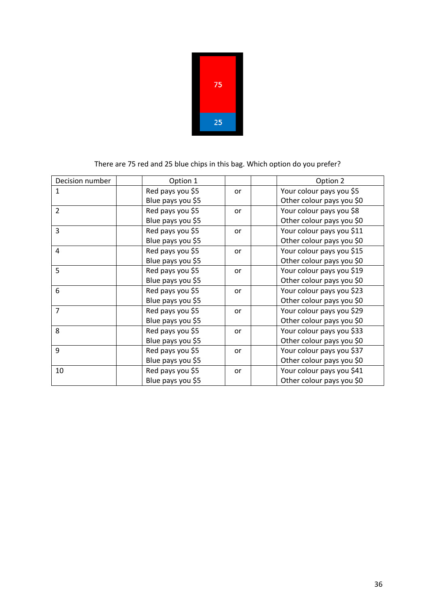| 75 |  |
|----|--|
| 25 |  |

### There are 75 red and 25 blue chips in this bag. Which option do you prefer?

| Decision number          | Option 1          |    | Option 2                  |
|--------------------------|-------------------|----|---------------------------|
| 1                        | Red pays you \$5  | or | Your colour pays you \$5  |
|                          | Blue pays you \$5 |    | Other colour pays you \$0 |
| $\overline{\mathcal{L}}$ | Red pays you \$5  | or | Your colour pays you \$8  |
|                          | Blue pays you \$5 |    | Other colour pays you \$0 |
| 3                        | Red pays you \$5  | or | Your colour pays you \$11 |
|                          | Blue pays you \$5 |    | Other colour pays you \$0 |
| 4                        | Red pays you \$5  | or | Your colour pays you \$15 |
|                          | Blue pays you \$5 |    | Other colour pays you \$0 |
| 5                        | Red pays you \$5  | or | Your colour pays you \$19 |
|                          | Blue pays you \$5 |    | Other colour pays you \$0 |
| 6                        | Red pays you \$5  | or | Your colour pays you \$23 |
|                          | Blue pays you \$5 |    | Other colour pays you \$0 |
| $\overline{7}$           | Red pays you \$5  | or | Your colour pays you \$29 |
|                          | Blue pays you \$5 |    | Other colour pays you \$0 |
| 8                        | Red pays you \$5  | or | Your colour pays you \$33 |
|                          | Blue pays you \$5 |    | Other colour pays you \$0 |
| 9                        | Red pays you \$5  | or | Your colour pays you \$37 |
|                          | Blue pays you \$5 |    | Other colour pays you \$0 |
| 10                       | Red pays you \$5  | or | Your colour pays you \$41 |
|                          | Blue pays you \$5 |    | Other colour pays you \$0 |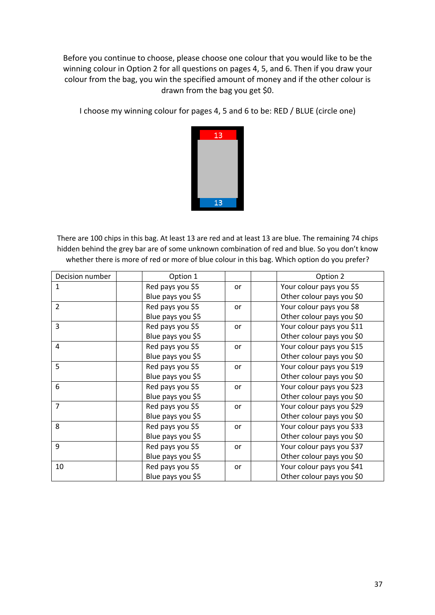Before you continue to choose, please choose one colour that you would like to be the winning colour in Option 2 for all questions on pages 4, 5, and 6. Then if you draw your colour from the bag, you win the specified amount of money and if the other colour is drawn from the bag you get \$0.

I choose my winning colour for pages 4, 5 and 6 to be: RED / BLUE (circle one)



There are 100 chips in this bag. At least 13 are red and at least 13 are blue. The remaining 74 chips hidden behind the grey bar are of some unknown combination of red and blue. So you don't know whether there is more of red or more of blue colour in this bag. Which option do you prefer?

| Decision number | Option 1          |    | Option 2                  |
|-----------------|-------------------|----|---------------------------|
| $\mathbf{1}$    | Red pays you \$5  | or | Your colour pays you \$5  |
|                 | Blue pays you \$5 |    | Other colour pays you \$0 |
| $\overline{2}$  | Red pays you \$5  | or | Your colour pays you \$8  |
|                 | Blue pays you \$5 |    | Other colour pays you \$0 |
| 3               | Red pays you \$5  | or | Your colour pays you \$11 |
|                 | Blue pays you \$5 |    | Other colour pays you \$0 |
| $\overline{4}$  | Red pays you \$5  | or | Your colour pays you \$15 |
|                 | Blue pays you \$5 |    | Other colour pays you \$0 |
| 5               | Red pays you \$5  | or | Your colour pays you \$19 |
|                 | Blue pays you \$5 |    | Other colour pays you \$0 |
| 6               | Red pays you \$5  | or | Your colour pays you \$23 |
|                 | Blue pays you \$5 |    | Other colour pays you \$0 |
| $\overline{7}$  | Red pays you \$5  | or | Your colour pays you \$29 |
|                 | Blue pays you \$5 |    | Other colour pays you \$0 |
| 8               | Red pays you \$5  | or | Your colour pays you \$33 |
|                 | Blue pays you \$5 |    | Other colour pays you \$0 |
| 9               | Red pays you \$5  | or | Your colour pays you \$37 |
|                 | Blue pays you \$5 |    | Other colour pays you \$0 |
| 10              | Red pays you \$5  | or | Your colour pays you \$41 |
|                 | Blue pays you \$5 |    | Other colour pays you \$0 |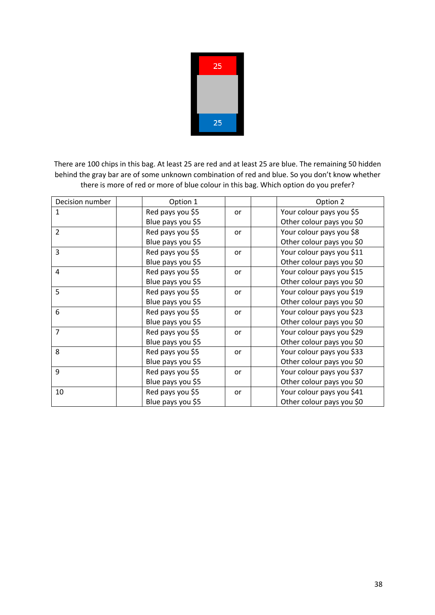| 25 |  |
|----|--|
|    |  |
|    |  |
| 25 |  |

There are 100 chips in this bag. At least 25 are red and at least 25 are blue. The remaining 50 hidden behind the gray bar are of some unknown combination of red and blue. So you don't know whether there is more of red or more of blue colour in this bag. Which option do you prefer?

| Decision number | Option 1          |    | Option 2                  |
|-----------------|-------------------|----|---------------------------|
| 1               | Red pays you \$5  | or | Your colour pays you \$5  |
|                 | Blue pays you \$5 |    | Other colour pays you \$0 |
| $\overline{2}$  | Red pays you \$5  | or | Your colour pays you \$8  |
|                 | Blue pays you \$5 |    | Other colour pays you \$0 |
| 3               | Red pays you \$5  | or | Your colour pays you \$11 |
|                 | Blue pays you \$5 |    | Other colour pays you \$0 |
| 4               | Red pays you \$5  | or | Your colour pays you \$15 |
|                 | Blue pays you \$5 |    | Other colour pays you \$0 |
| 5               | Red pays you \$5  | or | Your colour pays you \$19 |
|                 | Blue pays you \$5 |    | Other colour pays you \$0 |
| 6               | Red pays you \$5  | or | Your colour pays you \$23 |
|                 | Blue pays you \$5 |    | Other colour pays you \$0 |
| $\overline{7}$  | Red pays you \$5  | or | Your colour pays you \$29 |
|                 | Blue pays you \$5 |    | Other colour pays you \$0 |
| 8               | Red pays you \$5  | or | Your colour pays you \$33 |
|                 | Blue pays you \$5 |    | Other colour pays you \$0 |
| 9               | Red pays you \$5  | or | Your colour pays you \$37 |
|                 | Blue pays you \$5 |    | Other colour pays you \$0 |
| 10              | Red pays you \$5  | or | Your colour pays you \$41 |
|                 | Blue pays you \$5 |    | Other colour pays you \$0 |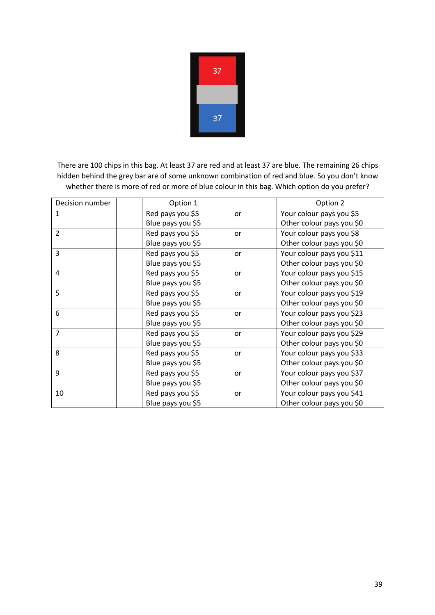

There are 100 chips in this bag. At least 37 are red and at least 37 are blue. The remaining 26 chips hidden behind the grey bar are of some unknown combination of red and blue. So you don't know whether there is more of red or more of blue colour in this bag. Which option do you prefer?

| Decision number | Option 1          |    | Option 2                  |
|-----------------|-------------------|----|---------------------------|
| 1               | Red pays you \$5  | or | Your colour pays you \$5  |
|                 | Blue pays you \$5 |    | Other colour pays you \$0 |
| $\overline{2}$  | Red pays you \$5  | or | Your colour pays you \$8  |
|                 | Blue pays you \$5 |    | Other colour pays you \$0 |
| 3               | Red pays you \$5  | or | Your colour pays you \$11 |
|                 | Blue pays you \$5 |    | Other colour pays you \$0 |
| $\overline{a}$  | Red pays you \$5  | or | Your colour pays you \$15 |
|                 | Blue pays you \$5 |    | Other colour pays you \$0 |
| 5               | Red pays you \$5  | or | Your colour pays you \$19 |
|                 | Blue pays you \$5 |    | Other colour pays you \$0 |
| 6               | Red pays you \$5  | or | Your colour pays you \$23 |
|                 | Blue pays you \$5 |    | Other colour pays you \$0 |
| $\overline{7}$  | Red pays you \$5  | or | Your colour pays you \$29 |
|                 | Blue pays you \$5 |    | Other colour pays you \$0 |
| 8               | Red pays you \$5  | or | Your colour pays you \$33 |
|                 | Blue pays you \$5 |    | Other colour pays you \$0 |
| 9               | Red pays you \$5  | or | Your colour pays you \$37 |
|                 | Blue pays you \$5 |    | Other colour pays you \$0 |
| 10              | Red pays you \$5  | or | Your colour pays you \$41 |
|                 | Blue pays you \$5 |    | Other colour pays you \$0 |